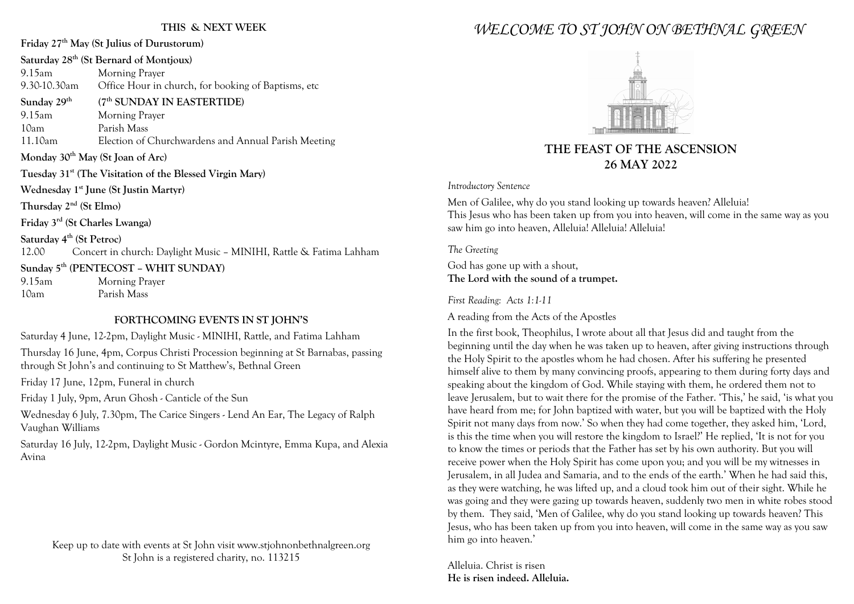#### **THIS & NEXT WEEK**

# **Friday 27th May (St Julius of Durustorum) Saturday 28th (St Bernard of Montjoux)**

9.15am Morning Prayer 9.30-10.30am Office Hour in church, for booking of Baptisms, etc **Sunday 29th (7th SUNDAY IN EASTERTIDE)** 9.15am Morning Prayer 10am Parish Mass 11.10am Election of Churchwardens and Annual Parish Meeting **Monday 30th May (St Joan of Arc) Tuesday 31st (The Visitation of the Blessed Virgin Mary) Wednesday 1st June (St Justin Martyr) Thursday 2nd (St Elmo) Friday 3rd (St Charles Lwanga) Saturday 4th (St Petroc)** 12.00 Concert in church: Daylight Music – MINIHI, Rattle & Fatima Lahham **Sunday 5th (PENTECOST – WHIT SUNDAY)** 9.15am Morning Prayer

10am Parish Mass

#### **FORTHCOMING EVENTS IN ST JOHN'S**

Saturday 4 June, 12-2pm, Daylight Music - MINIHI, Rattle, and Fatima Lahham Thursday 16 June, 4pm, Corpus Christi Procession beginning at St Barnabas, passing through St John's and continuing to St Matthew's, Bethnal Green

Friday 17 June, 12pm, Funeral in church

Friday 1 July, 9pm, Arun Ghosh - Canticle of the Sun

Wednesday 6 July, 7.30pm, The Carice Singers - Lend An Ear, The Legacy of Ralph Vaughan Williams

Saturday 16 July, 12-2pm, Daylight Music - Gordon Mcintyre, Emma Kupa, and Alexia Avina

Keep up to date with events at St John visit www.stjohnonbethnalgreen.org St John is a registered charity, no. 113215

# *WELCOME TO ST JOHN ON BETHNAL GREEN*



# **THE FEAST OF THE ASCENSION 26 MAY 2022**

#### *Introductory Sentence*

Men of Galilee, why do you stand looking up towards heaven? Alleluia! This Jesus who has been taken up from you into heaven, will come in the same way as you saw him go into heaven, Alleluia! Alleluia! Alleluia!

*The Greeting*

God has gone up with a shout, **The Lord with the sound of a trumpet.**

*First Reading: Acts 1:1-11*

A reading from the Acts of the Apostles

In the first book, Theophilus, I wrote about all that Jesus did and taught from the beginning until the day when he was taken up to heaven, after giving instructions through the Holy Spirit to the apostles whom he had chosen. After his suffering he presented himself alive to them by many convincing proofs, appearing to them during forty days and speaking about the kingdom of God. While staying with them, he ordered them not to leave Jerusalem, but to wait there for the promise of the Father. 'This,' he said, 'is what you have heard from me; for John baptized with water, but you will be baptized with the Holy Spirit not many days from now.' So when they had come together, they asked him, 'Lord, is this the time when you will restore the kingdom to Israel?' He replied, 'It is not for you to know the times or periods that the Father has set by his own authority. But you will receive power when the Holy Spirit has come upon you; and you will be my witnesses in Jerusalem, in all Judea and Samaria, and to the ends of the earth.' When he had said this, as they were watching, he was lifted up, and a cloud took him out of their sight. While he was going and they were gazing up towards heaven, suddenly two men in white robes stood by them. They said, 'Men of Galilee, why do you stand looking up towards heaven? This Jesus, who has been taken up from you into heaven, will come in the same way as you saw him go into heaven.'

Alleluia. Christ is risen **He is risen indeed. Alleluia.**